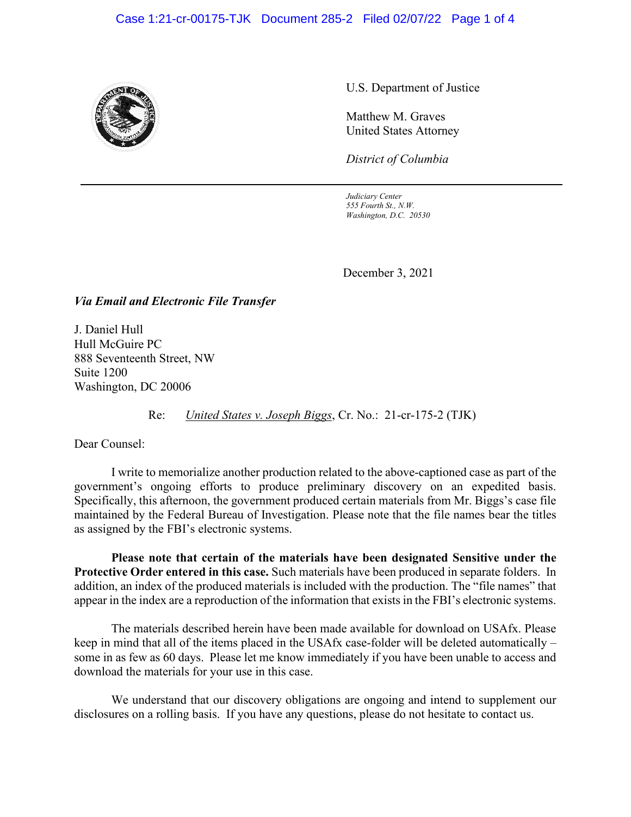#### Case 1:21-cr-00175-TJK Document 285-2 Filed 02/07/22 Page 1 of 4



U.S. Department of Justice

Matthew M. Graves United States Attorney

*District of Columbia*

*Judiciary Center 555 Fourth St., N.W. Washington, D.C. 20530*

December 3, 2021

*Via Email and Electronic File Transfer*

J. Daniel Hull Hull McGuire PC 888 Seventeenth Street, NW Suite 1200 Washington, DC 20006

Re: *United States v. Joseph Biggs*, Cr. No.: 21-cr-175-2 (TJK)

Dear Counsel:

I write to memorialize another production related to the above-captioned case as part of the government's ongoing efforts to produce preliminary discovery on an expedited basis. Specifically, this afternoon, the government produced certain materials from Mr. Biggs's case file maintained by the Federal Bureau of Investigation. Please note that the file names bear the titles as assigned by the FBI's electronic systems.

**Please note that certain of the materials have been designated Sensitive under the Protective Order entered in this case.** Such materials have been produced in separate folders. In addition, an index of the produced materials is included with the production. The "file names" that appear in the index are a reproduction of the information that exists in the FBI's electronic systems.

The materials described herein have been made available for download on USAfx. Please keep in mind that all of the items placed in the USAfx case-folder will be deleted automatically – some in as few as 60 days. Please let me know immediately if you have been unable to access and download the materials for your use in this case.

We understand that our discovery obligations are ongoing and intend to supplement our disclosures on a rolling basis. If you have any questions, please do not hesitate to contact us.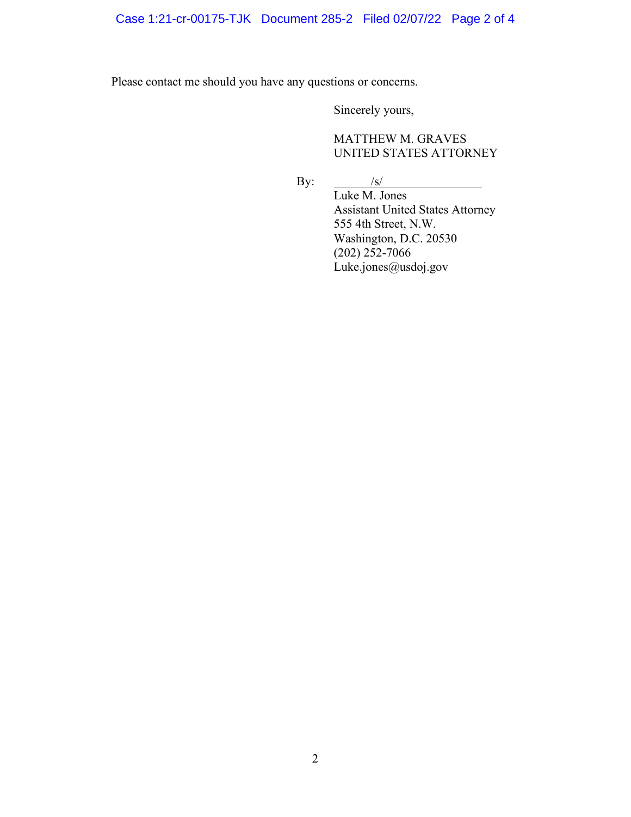# Case 1:21-cr-00175-TJK Document 285-2 Filed 02/07/22 Page 2 of 4

Please contact me should you have any questions or concerns.

Sincerely yours,

MATTHEW M. GRAVES UNITED STATES ATTORNEY

By:  $\frac{1}{s}$ Luke M. Jones Assistant United States Attorney 555 4th Street, N.W. Washington, D.C. 20530  $(202)$  252-7066 Luke.jones@usdoj.gov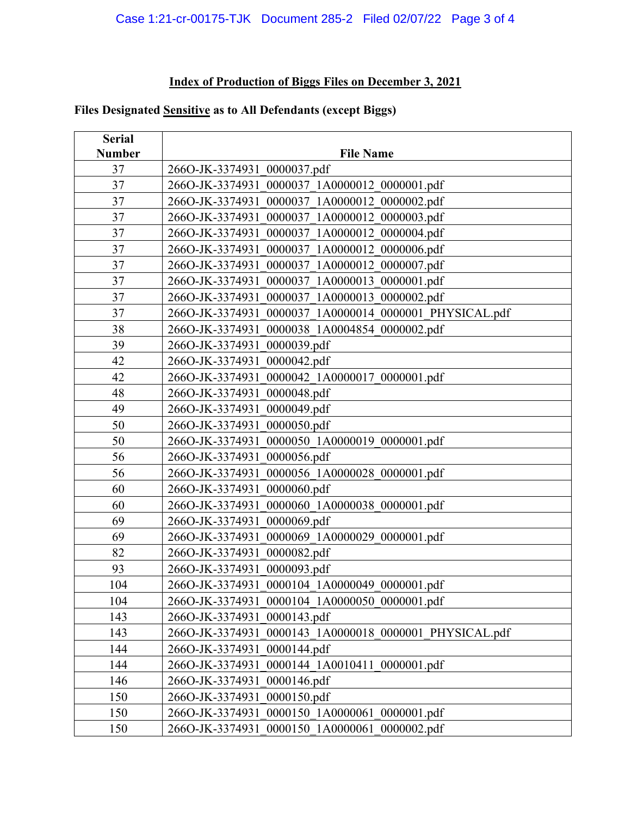### **Index of Production of Biggs Files on December 3, 2021**

# **Files Designated Sensitive as to All Defendants (except Biggs)**

| <b>Serial</b><br><b>Number</b> | <b>File Name</b>                                                 |
|--------------------------------|------------------------------------------------------------------|
| 37                             | 266O-JK-3374931 0000037.pdf                                      |
| 37                             | 266O-JK-3374931 0000037 1A0000012 0000001.pdf                    |
| 37                             | 266O-JK-3374931 0000037 1A0000012 0000002.pdf                    |
| 37                             | 266O-JK-3374931 0000037 1A0000012 0000003.pdf                    |
| 37                             | 2660-JK-3374931<br>0000037 1A0000012 0000004.pdf                 |
| 37                             | 0000037 1A0000012 0000006.pdf<br>2660-JK-3374931                 |
| 37                             | 0000037 1A0000012 0000007.pdf<br>2660-JK-3374931                 |
| 37                             | 0000037 1A0000013 0000001.pdf                                    |
| 37                             | 2660-JK-3374931<br>266O-JK-3374931 0000037 1A0000013 0000002.pdf |
| 37                             | 0000037 1A0000014 0000001 PHYSICAL.pdf<br>266O-JK-3374931        |
| 38                             | 266O-JK-3374931                                                  |
| 39                             | 0000038_1A0004854_0000002.pdf<br>0000039.pdf<br>266O-JK-3374931  |
| 42                             | 0000042.pdf<br>266O-JK-3374931                                   |
| 42                             | 0000042 1A0000017 0000001.pdf<br>266O-JK-3374931                 |
| 48                             | 0000048.pdf<br>266O-JK-3374931                                   |
| 49                             | 0000049.pdf<br>2660-JK-3374931                                   |
| 50                             | 0000050.pdf<br>266O-JK-3374931                                   |
| 50                             | 0000050_1A0000019_0000001.pdf<br>2660-JK-3374931                 |
| 56                             | 0000056.pdf<br>2660-JK-3374931                                   |
| 56                             | 0000056 1A0000028 0000001.pdf<br>2660-JK-3374931                 |
| 60                             | 0000060.pdf<br>266O-JK-3374931                                   |
| 60                             | 2660-JK-3374931<br>0000060 1A0000038 0000001.pdf                 |
| 69                             | 0000069.pdf<br>266O-JK-3374931                                   |
| 69                             | 0000069 1A0000029 0000001.pdf<br>266O-JK-3374931                 |
| 82                             | 0000082.pdf<br>2660-JK-3374931                                   |
| 93                             | 266O-JK-3374931 0000093.pdf                                      |
| 104                            | 266O-JK-3374931 0000104 1A0000049 0000001.pdf                    |
| 104                            | 266O-JK-3374931 0000104 1A0000050 0000001.pdf                    |
| 143                            | 266O-JK-3374931 0000143.pdf                                      |
| 143                            | 266O-JK-3374931 0000143 1A0000018 0000001 PHYSICAL.pdf           |
| 144                            | 266O-JK-3374931 0000144.pdf                                      |
| 144                            | 266O-JK-3374931 0000144 1A0010411 0000001.pdf                    |
| 146                            | 266O-JK-3374931 0000146.pdf                                      |
| 150                            | 266O-JK-3374931 0000150.pdf                                      |
| 150                            | 266O-JK-3374931 0000150 1A0000061 0000001.pdf                    |
| 150                            | 266O-JK-3374931 0000150 1A0000061 0000002.pdf                    |